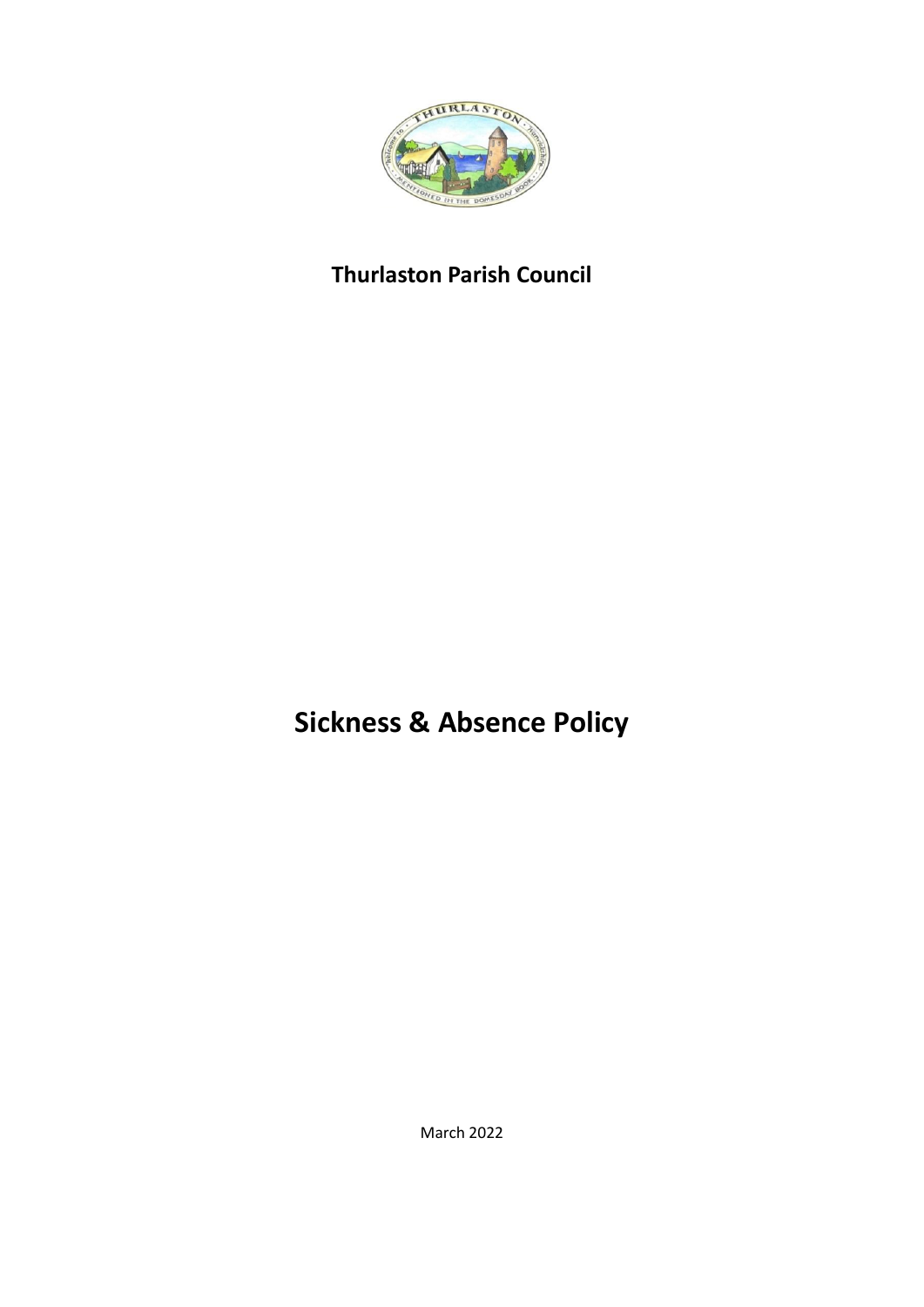

# **Thurlaston Parish Council**

**Sickness & Absence Policy**

March 2022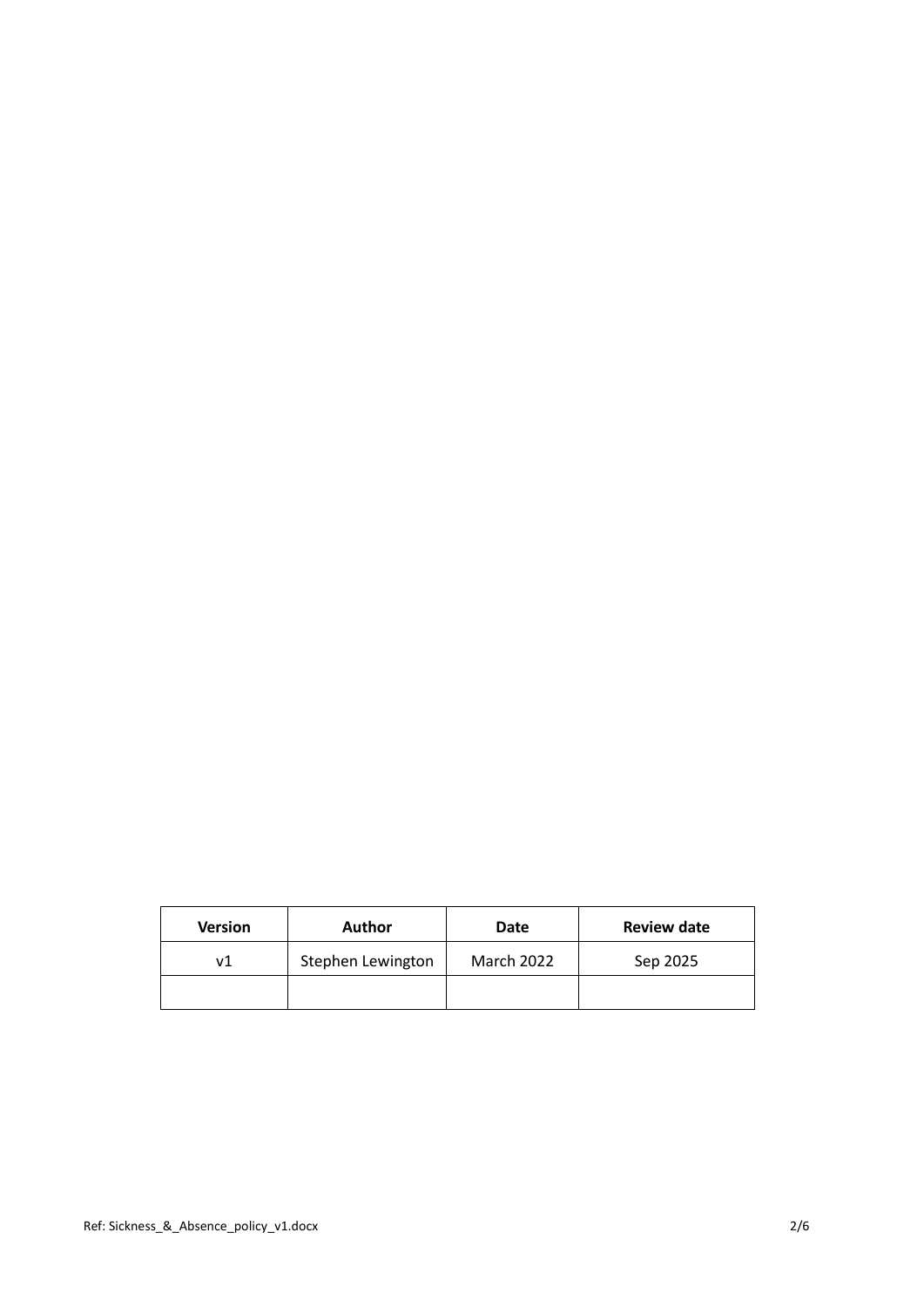| <b>Version</b> | Author            | Date       | <b>Review date</b> |
|----------------|-------------------|------------|--------------------|
| v1             | Stephen Lewington | March 2022 | Sep 2025           |
|                |                   |            |                    |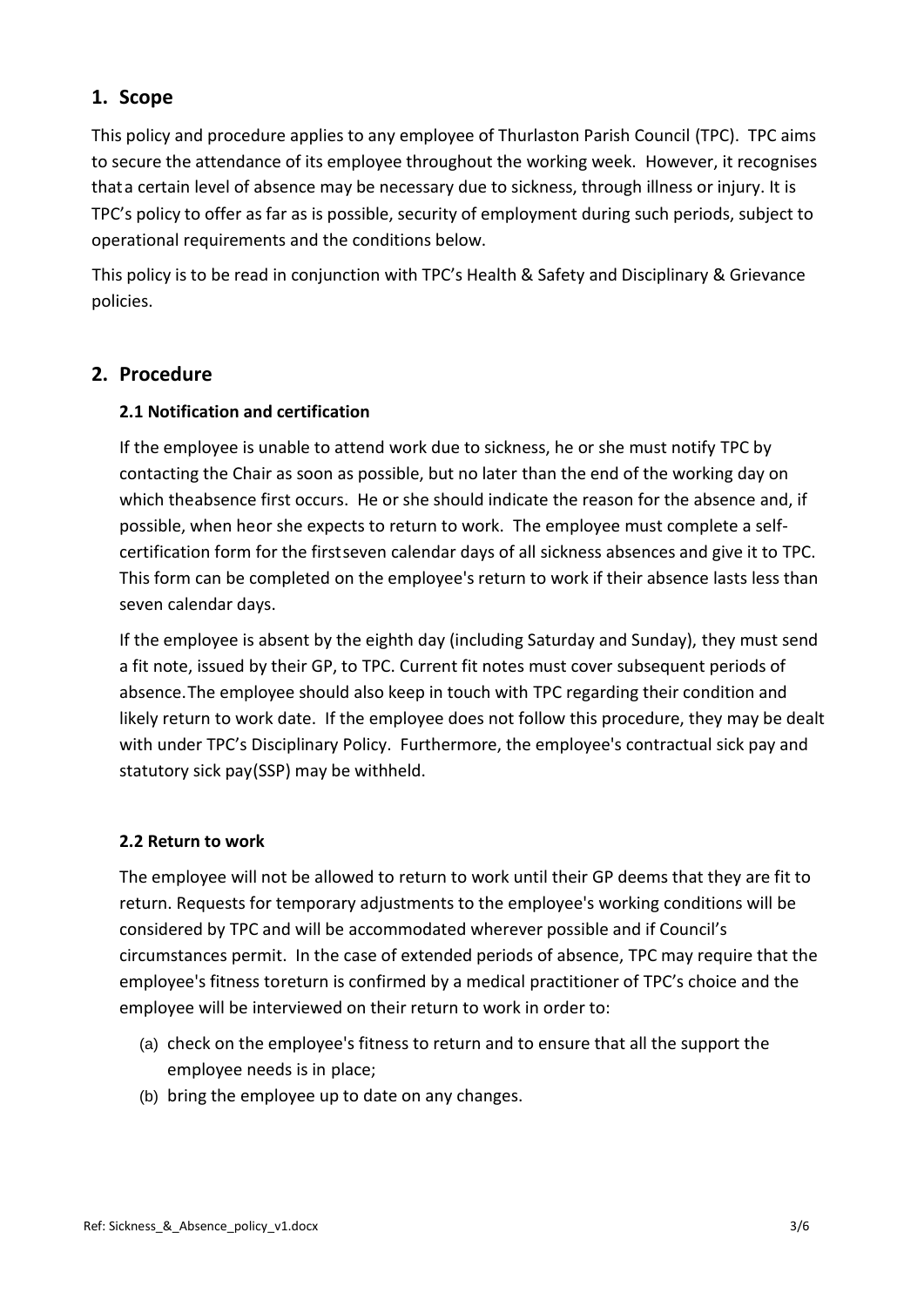# **1. Scope**

This policy and procedure applies to any employee of Thurlaston Parish Council (TPC). TPC aims to secure the attendance of its employee throughout the working week. However, it recognises that a certain level of absence may be necessary due to sickness, through illness or injury. It is TPC's policy to offer as far as is possible, security of employment during such periods, subject to operational requirements and the conditions below.

This policy is to be read in conjunction with TPC's Health & Safety and Disciplinary & Grievance policies.

# **2. Procedure**

# **2.1 Notification and certification**

If the employee is unable to attend work due to sickness, he or she must notify TPC by contacting the Chair as soon as possible, but no later than the end of the working day on which theabsence first occurs. He or she should indicate the reason for the absence and, if possible, when heor she expects to return to work. The employee must complete a selfcertification form for the firstseven calendar days of all sickness absences and give it to TPC. This form can be completed on the employee's return to work if their absence lasts less than seven calendar days.

If the employee is absent by the eighth day (including Saturday and Sunday), they must send a fit note, issued by their GP, to TPC. Current fit notes must cover subsequent periods of absence.The employee should also keep in touch with TPC regarding their condition and likely return to work date. If the employee does not follow this procedure, they may be dealt with under TPC's Disciplinary Policy. Furthermore, the employee's contractual sick pay and statutory sick pay(SSP) may be withheld.

## **2.2 Return to work**

The employee will not be allowed to return to work until their GP deems that they are fit to return. Requests for temporary adjustments to the employee's working conditions will be considered by TPC and will be accommodated wherever possible and if Council's circumstances permit. In the case of extended periods of absence, TPC may require that the employee's fitness toreturn is confirmed by a medical practitioner of TPC's choice and the employee will be interviewed on their return to work in order to:

- (a) check on the employee's fitness to return and to ensure that all the support the employee needs is in place;
- (b) bring the employee up to date on any changes.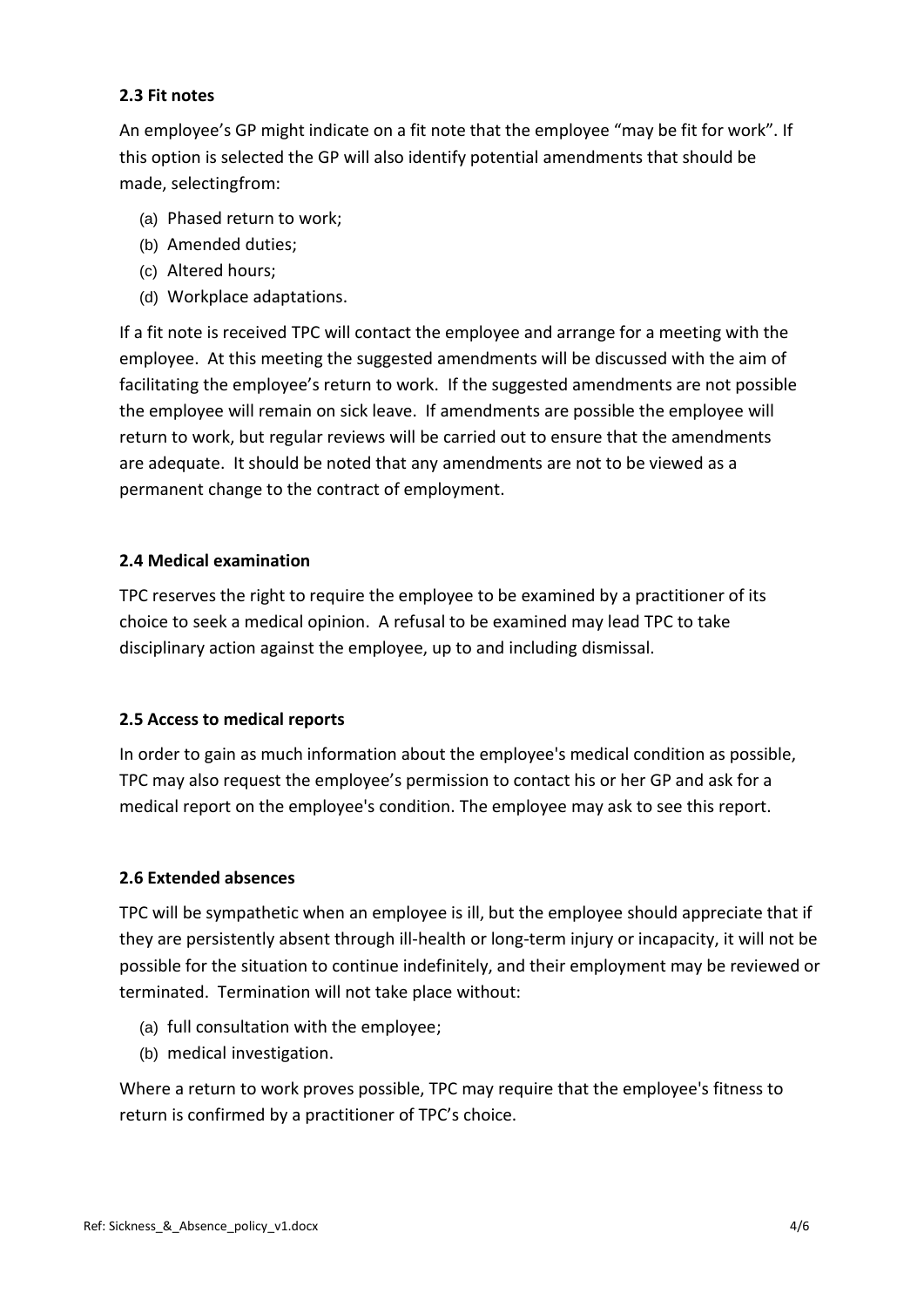## **2.3 Fit notes**

An employee's GP might indicate on a fit note that the employee "may be fit for work". If this option is selected the GP will also identify potential amendments that should be made, selectingfrom:

- (a) Phased return to work;
- (b) Amended duties;
- (c) Altered hours;
- (d) Workplace adaptations.

If a fit note is received TPC will contact the employee and arrange for a meeting with the employee. At this meeting the suggested amendments will be discussed with the aim of facilitating the employee's return to work. If the suggested amendments are not possible the employee will remain on sick leave. If amendments are possible the employee will return to work, but regular reviews will be carried out to ensure that the amendments are adequate. It should be noted that any amendments are not to be viewed as a permanent change to the contract of employment.

#### **2.4 Medical examination**

TPC reserves the right to require the employee to be examined by a practitioner of its choice to seek a medical opinion. A refusal to be examined may lead TPC to take disciplinary action against the employee, up to and including dismissal.

#### **2.5 Access to medical reports**

In order to gain as much information about the employee's medical condition as possible, TPC may also request the employee's permission to contact his or her GP and ask for a medical report on the employee's condition. The employee may ask to see this report.

#### **2.6 Extended absences**

TPC will be sympathetic when an employee is ill, but the employee should appreciate that if they are persistently absent through ill-health or long-term injury or incapacity, it will not be possible for the situation to continue indefinitely, and their employment may be reviewed or terminated. Termination will not take place without:

- (a) full consultation with the employee;
- (b) medical investigation.

Where a return to work proves possible, TPC may require that the employee's fitness to return is confirmed by a practitioner of TPC's choice.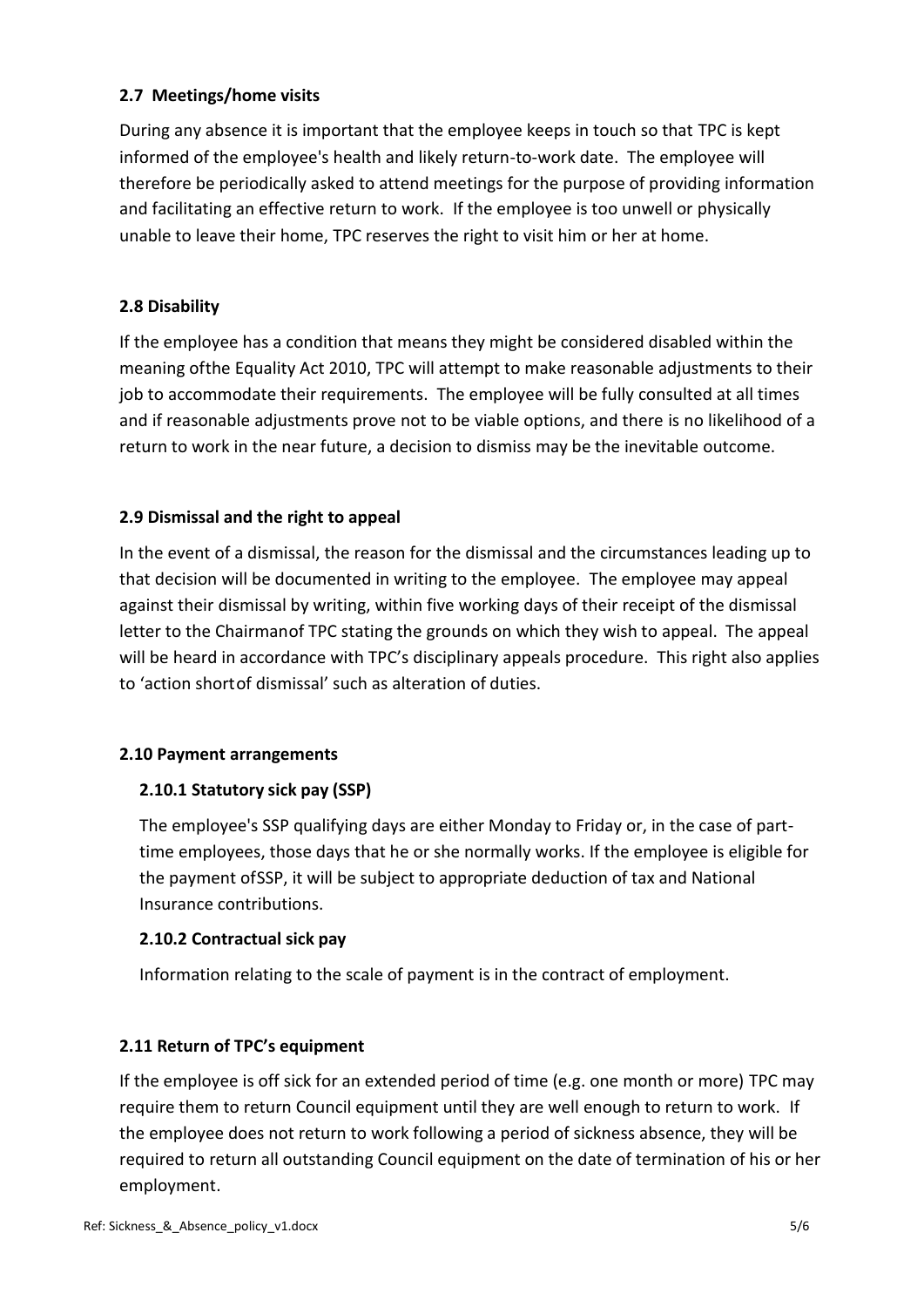## **2.7 Meetings/home visits**

During any absence it is important that the employee keeps in touch so that TPC is kept informed of the employee's health and likely return-to-work date. The employee will therefore be periodically asked to attend meetings for the purpose of providing information and facilitating an effective return to work. If the employee is too unwell or physically unable to leave their home, TPC reserves the right to visit him or her at home.

#### **2.8 Disability**

If the employee has a condition that means they might be considered disabled within the meaning ofthe Equality Act 2010, TPC will attempt to make reasonable adjustments to their job to accommodate their requirements. The employee will be fully consulted at all times and if reasonable adjustments prove not to be viable options, and there is no likelihood of a return to work in the near future, a decision to dismiss may be the inevitable outcome.

#### **2.9 Dismissal and the right to appeal**

In the event of a dismissal, the reason for the dismissal and the circumstances leading up to that decision will be documented in writing to the employee. The employee may appeal against their dismissal by writing, within five working days of their receipt of the dismissal letter to the Chairmanof TPC stating the grounds on which they wish to appeal. The appeal will be heard in accordance with TPC's disciplinary appeals procedure. This right also applies to 'action short of dismissal' such as alteration of duties.

#### **2.10 Payment arrangements**

## **2.10.1 Statutory sick pay (SSP)**

The employee's SSP qualifying days are either Monday to Friday or, in the case of parttime employees, those days that he or she normally works. If the employee is eligible for the payment ofSSP, it will be subject to appropriate deduction of tax and National Insurance contributions.

#### **2.10.2 Contractual sick pay**

Information relating to the scale of payment is in the contract of employment.

## **2.11 Return of TPC's equipment**

If the employee is off sick for an extended period of time (e.g. one month or more) TPC may require them to return Council equipment until they are well enough to return to work. If the employee does not return to work following a period of sickness absence, they will be required to return all outstanding Council equipment on the date of termination of his or her employment.